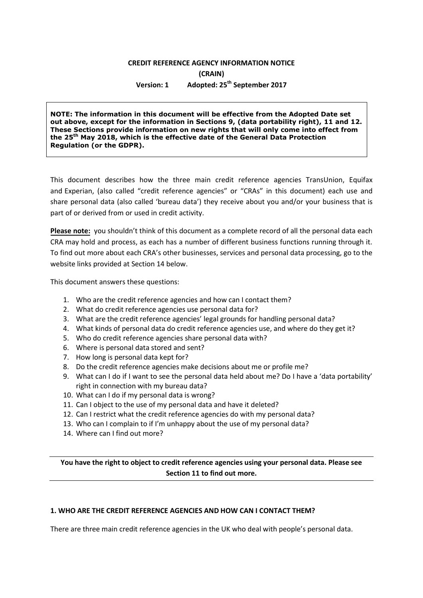## **CREDIT REFERENCE AGENCY INFORMATION NOTICE (CRAIN) Version: 1 Adopted: 25th September 2017**

**NOTE: The information in this document will be effective from the Adopted Date set out above, except for the information in Sections 9, (data portability right), 11 and 12. These Sections provide information on new rights that will only come into effect from the 25th May 2018, which is the effective date of the General Data Protection Regulation (or the GDPR).**

This document describes how the three main credit reference agencies TransUnion, Equifax and Experian, (also called "credit reference agencies" or "CRAs" in this document) each use and share personal data (also called 'bureau data') they receive about you and/or your business that is part of or derived from or used in credit activity.

**Please note:** you shouldn't think of this document as a complete record of all the personal data each CRA may hold and process, as each has a number of different business functions running through it. To find out more about each CRA's other businesses, services and personal data processing, go to the website links provided at Section 14 below.

This document answers these questions:

- 1. Who are the credit reference agencies and how can I contact them?
- 2. What do credit reference agencies use personal data for?
- 3. What are the credit reference agencies' legal grounds for handling personal data?
- 4. What kinds of personal data do credit reference agencies use, and where do they get it?
- 5. Who do credit reference agencies share personal data with?
- 6. Where is personal data stored and sent?
- 7. How long is personal data kept for?
- 8. Do the credit reference agencies make decisions about me or profile me?
- 9. What can I do if I want to see the personal data held about me? Do I have a 'data portability' right in connection with my bureau data?
- 10. What can I do if my personal data is wrong?
- 11. Can I object to the use of my personal data and have it deleted?
- 12. Can I restrict what the credit reference agencies do with my personal data?
- 13. Who can I complain to if I'm unhappy about the use of my personal data?
- 14. Where can I find out more?

**You have the right to object to credit reference agencies using your personal data. Please see Section 11 to find out more.** 

#### **1. WHO ARE THE CREDIT REFERENCE AGENCIES AND HOW CAN I CONTACT THEM?**

There are three main credit reference agencies in the UK who deal with people's personal data.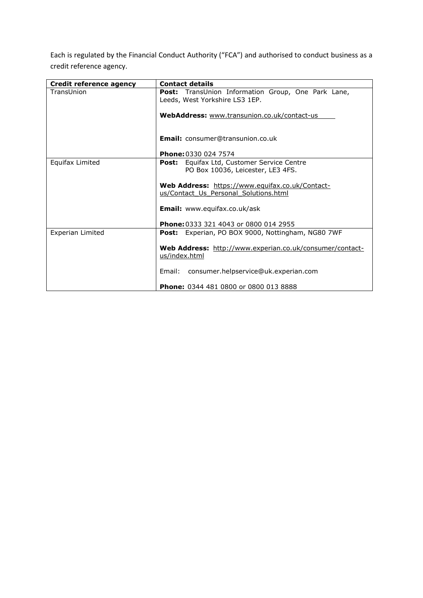Each is regulated by the Financial Conduct Authority ("FCA") and authorised to conduct business as a credit reference agency.

| Credit reference agency | <b>Contact details</b>                                    |
|-------------------------|-----------------------------------------------------------|
| TransUnion              | <b>Post:</b> TransUnion Information Group, One Park Lane, |
|                         | Leeds, West Yorkshire LS3 1EP.                            |
|                         |                                                           |
|                         | WebAddress: www.transunion.co.uk/contact-us               |
|                         |                                                           |
|                         |                                                           |
|                         | <b>Email:</b> consumer@transunion.co.uk                   |
|                         |                                                           |
|                         | Phone: 0330 024 7574                                      |
| Equifax Limited         | Equifax Ltd, Customer Service Centre<br>Post:             |
|                         | PO Box 10036, Leicester, LE3 4FS.                         |
|                         |                                                           |
|                         | Web Address: https://www.equifax.co.uk/Contact-           |
|                         | us/Contact Us Personal Solutions.html                     |
|                         |                                                           |
|                         | <b>Email:</b> www.equifax.co.uk/ask                       |
|                         |                                                           |
|                         | <b>Phone: 0333 321 4043 or 0800 014 2955</b>              |
| Experian Limited        | Post: Experian, PO BOX 9000, Nottingham, NG80 7WF         |
|                         |                                                           |
|                         | Web Address: http://www.experian.co.uk/consumer/contact-  |
|                         | us/index.html                                             |
|                         |                                                           |
|                         | Email: consumer.helpservice@uk.experian.com               |
|                         |                                                           |
|                         | <b>Phone: 0344 481 0800 or 0800 013 8888</b>              |
|                         |                                                           |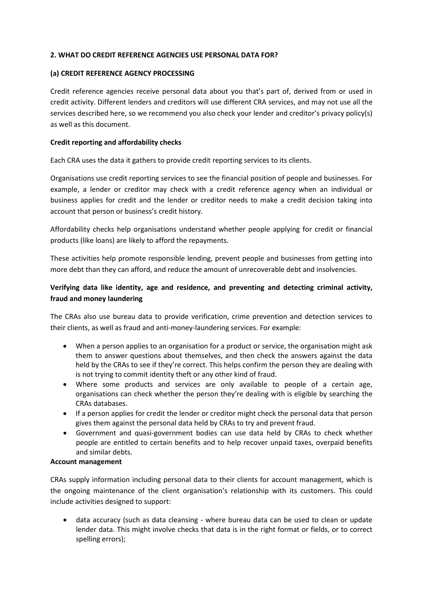## **2. WHAT DO CREDIT REFERENCE AGENCIES USE PERSONAL DATA FOR?**

## **(a) CREDIT REFERENCE AGENCY PROCESSING**

Credit reference agencies receive personal data about you that's part of, derived from or used in credit activity. Different lenders and creditors will use different CRA services, and may not use all the services described here, so we recommend you also check your lender and creditor's privacy policy(s) as well as this document.

## **Credit reporting and affordability checks**

Each CRA uses the data it gathers to provide credit reporting services to its clients.

Organisations use credit reporting services to see the financial position of people and businesses. For example, a lender or creditor may check with a credit reference agency when an individual or business applies for credit and the lender or creditor needs to make a credit decision taking into account that person or business's credit history.

Affordability checks help organisations understand whether people applying for credit or financial products (like loans) are likely to afford the repayments.

These activities help promote responsible lending, prevent people and businesses from getting into more debt than they can afford, and reduce the amount of unrecoverable debt and insolvencies.

# **Verifying data like identity, age and residence, and preventing and detecting criminal activity, fraud and money laundering**

The CRAs also use bureau data to provide verification, crime prevention and detection services to their clients, as well as fraud and anti-money-laundering services. For example:

- When a person applies to an organisation for a product or service, the organisation might ask them to answer questions about themselves, and then check the answers against the data held by the CRAs to see if they're correct. This helps confirm the person they are dealing with is not trying to commit identity theft or any other kind of fraud.
- Where some products and services are only available to people of a certain age, organisations can check whether the person they're dealing with is eligible by searching the CRAs databases.
- If a person applies for credit the lender or creditor might check the personal data that person gives them against the personal data held by CRAs to try and prevent fraud.
- Government and quasi-government bodies can use data held by CRAs to check whether people are entitled to certain benefits and to help recover unpaid taxes, overpaid benefits and similar debts.

#### **Account management**

CRAs supply information including personal data to their clients for account management, which is the ongoing maintenance of the client organisation's relationship with its customers. This could include activities designed to support:

 data accuracy (such as data cleansing - where bureau data can be used to clean or update lender data. This might involve checks that data is in the right format or fields, or to correct spelling errors);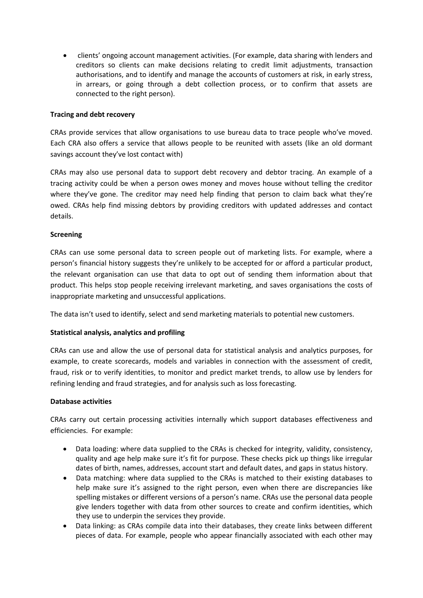clients' ongoing account management activities. (For example, data sharing with lenders and creditors so clients can make decisions relating to credit limit adjustments, transaction authorisations, and to identify and manage the accounts of customers at risk, in early stress, in arrears, or going through a debt collection process, or to confirm that assets are connected to the right person).

## **Tracing and debt recovery**

CRAs provide services that allow organisations to use bureau data to trace people who've moved. Each CRA also offers a service that allows people to be reunited with assets (like an old dormant savings account they've lost contact with)

CRAs may also use personal data to support debt recovery and debtor tracing. An example of a tracing activity could be when a person owes money and moves house without telling the creditor where they've gone. The creditor may need help finding that person to claim back what they're owed. CRAs help find missing debtors by providing creditors with updated addresses and contact details.

## **Screening**

CRAs can use some personal data to screen people out of marketing lists. For example, where a person's financial history suggests they're unlikely to be accepted for or afford a particular product, the relevant organisation can use that data to opt out of sending them information about that product. This helps stop people receiving irrelevant marketing, and saves organisations the costs of inappropriate marketing and unsuccessful applications.

The data isn't used to identify, select and send marketing materials to potential new customers.

## **Statistical analysis, analytics and profiling**

CRAs can use and allow the use of personal data for statistical analysis and analytics purposes, for example, to create scorecards, models and variables in connection with the assessment of credit, fraud, risk or to verify identities, to monitor and predict market trends, to allow use by lenders for refining lending and fraud strategies, and for analysis such as loss forecasting.

#### **Database activities**

CRAs carry out certain processing activities internally which support databases effectiveness and efficiencies. For example:

- Data loading: where data supplied to the CRAs is checked for integrity, validity, consistency, quality and age help make sure it's fit for purpose. These checks pick up things like irregular dates of birth, names, addresses, account start and default dates, and gaps in status history.
- Data matching: where data supplied to the CRAs is matched to their existing databases to help make sure it's assigned to the right person, even when there are discrepancies like spelling mistakes or different versions of a person's name. CRAs use the personal data people give lenders together with data from other sources to create and confirm identities, which they use to underpin the services they provide.
- Data linking: as CRAs compile data into their databases, they create links between different pieces of data. For example, people who appear financially associated with each other may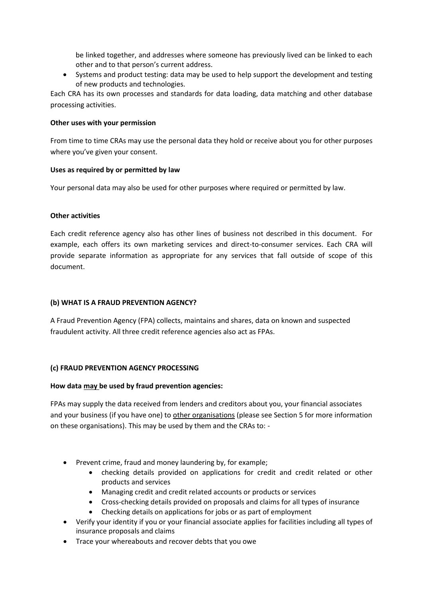be linked together, and addresses where someone has previously lived can be linked to each other and to that person's current address.

• Systems and product testing: data may be used to help support the development and testing of new products and technologies.

Each CRA has its own processes and standards for data loading, data matching and other database processing activities.

## **Other uses with your permission**

From time to time CRAs may use the personal data they hold or receive about you for other purposes where you've given your consent.

## **Uses as required by or permitted by law**

Your personal data may also be used for other purposes where required or permitted by law.

#### **Other activities**

Each credit reference agency also has other lines of business not described in this document. For example, each offers its own marketing services and direct-to-consumer services. Each CRA will provide separate information as appropriate for any services that fall outside of scope of this document.

## **(b) WHAT IS A FRAUD PREVENTION AGENCY?**

A Fraud Prevention Agency (FPA) collects, maintains and shares, data on known and suspected fraudulent activity. All three credit reference agencies also act as FPAs.

#### **(c) FRAUD PREVENTION AGENCY PROCESSING**

#### **How data may be used by fraud prevention agencies:**

FPAs may supply the data received from lenders and creditors about you, your financial associates and your business (if you have one) to other organisations (please see Section 5 for more information on these organisations). This may be used by them and the CRAs to: -

- Prevent crime, fraud and money laundering by, for example;
	- checking details provided on applications for credit and credit related or other products and services
	- Managing credit and credit related accounts or products or services
	- Cross-checking details provided on proposals and claims for all types of insurance
	- Checking details on applications for jobs or as part of employment
- Verify your identity if you or your financial associate applies for facilities including all types of insurance proposals and claims
- Trace your whereabouts and recover debts that you owe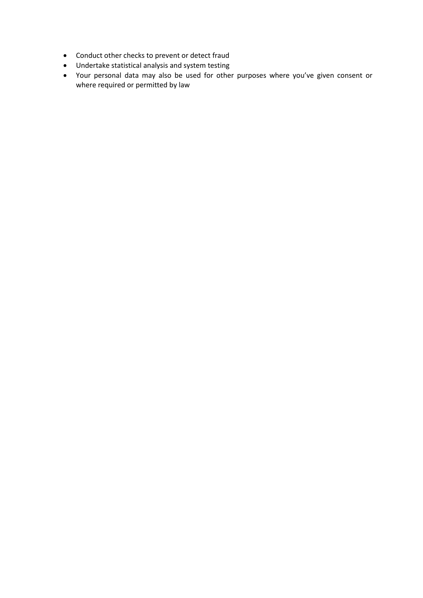- Conduct other checks to prevent or detect fraud
- Undertake statistical analysis and system testing
- Your personal data may also be used for other purposes where you've given consent or where required or permitted by law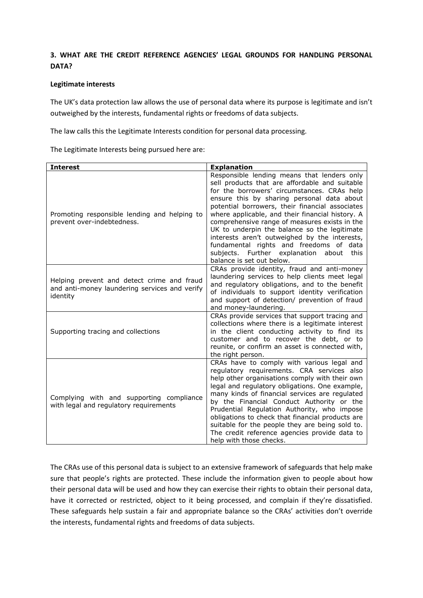# **3. WHAT ARE THE CREDIT REFERENCE AGENCIES' LEGAL GROUNDS FOR HANDLING PERSONAL DATA?**

## **Legitimate interests**

The UK's data protection law allows the use of personal data where its purpose is legitimate and isn't outweighed by the interests, fundamental rights or freedoms of data subjects.

The law calls this the Legitimate Interests condition for personal data processing.

The Legitimate Interests being pursued here are:

| <b>Interest</b>                                                                                         | <b>Explanation</b>                                                                                                                                                                                                                                                                                                                                                                                                                                                                                                                                                            |
|---------------------------------------------------------------------------------------------------------|-------------------------------------------------------------------------------------------------------------------------------------------------------------------------------------------------------------------------------------------------------------------------------------------------------------------------------------------------------------------------------------------------------------------------------------------------------------------------------------------------------------------------------------------------------------------------------|
| Promoting responsible lending and helping to<br>prevent over-indebtedness.                              | Responsible lending means that lenders only<br>sell products that are affordable and suitable<br>for the borrowers' circumstances. CRAs help<br>ensure this by sharing personal data about<br>potential borrowers, their financial associates<br>where applicable, and their financial history. A<br>comprehensive range of measures exists in the<br>UK to underpin the balance so the legitimate<br>interests aren't outweighed by the interests,<br>fundamental rights and freedoms of data<br>subjects. Further explanation<br>about<br>this<br>balance is set out below. |
| Helping prevent and detect crime and fraud<br>and anti-money laundering services and verify<br>identity | CRAs provide identity, fraud and anti-money<br>laundering services to help clients meet legal<br>and regulatory obligations, and to the benefit<br>of individuals to support identity verification<br>and support of detection/ prevention of fraud<br>and money-laundering.                                                                                                                                                                                                                                                                                                  |
| Supporting tracing and collections                                                                      | CRAs provide services that support tracing and<br>collections where there is a legitimate interest<br>in the client conducting activity to find its<br>customer and to recover the debt, or to<br>reunite, or confirm an asset is connected with,<br>the right person.                                                                                                                                                                                                                                                                                                        |
| Complying with and supporting compliance<br>with legal and regulatory requirements                      | CRAs have to comply with various legal and<br>regulatory requirements. CRA services also<br>help other organisations comply with their own<br>legal and regulatory obligations. One example,<br>many kinds of financial services are regulated<br>by the Financial Conduct Authority or the<br>Prudential Regulation Authority, who impose<br>obligations to check that financial products are<br>suitable for the people they are being sold to.<br>The credit reference agencies provide data to<br>help with those checks.                                                 |

The CRAs use of this personal data is subject to an extensive framework of safeguards that help make sure that people's rights are protected. These include the information given to people about how their personal data will be used and how they can exercise their rights to obtain their personal data, have it corrected or restricted, object to it being processed, and complain if they're dissatisfied. These safeguards help sustain a fair and appropriate balance so the CRAs' activities don't override the interests, fundamental rights and freedoms of data subjects.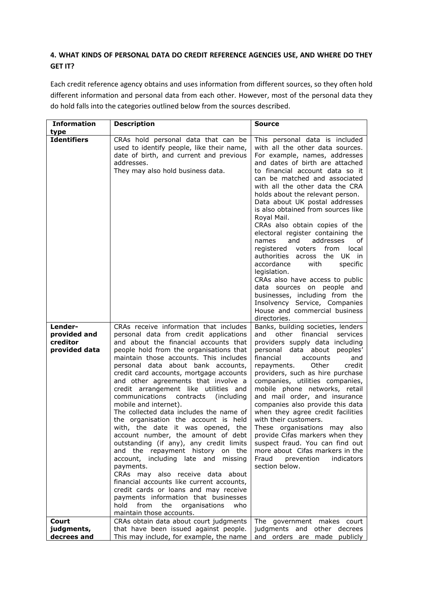# **4. WHAT KINDS OF PERSONAL DATA DO CREDIT REFERENCE AGENCIES USE, AND WHERE DO THEY GET IT?**

Each credit reference agency obtains and uses information from different sources, so they often hold different information and personal data from each other. However, most of the personal data they do hold falls into the categories outlined below from the sources described.

| <b>Information</b>                                   | <b>Description</b>                                                                                                                                                                                                                                                                                                                                                                                                                                                                                                                                                                                                                                                                                                                                                                                                                                                                                                                                                                               | Source                                                                                                                                                                                                                                                                                                                                                                                                                                                                                                                                                                                                                                                                                                                                                                                    |
|------------------------------------------------------|--------------------------------------------------------------------------------------------------------------------------------------------------------------------------------------------------------------------------------------------------------------------------------------------------------------------------------------------------------------------------------------------------------------------------------------------------------------------------------------------------------------------------------------------------------------------------------------------------------------------------------------------------------------------------------------------------------------------------------------------------------------------------------------------------------------------------------------------------------------------------------------------------------------------------------------------------------------------------------------------------|-------------------------------------------------------------------------------------------------------------------------------------------------------------------------------------------------------------------------------------------------------------------------------------------------------------------------------------------------------------------------------------------------------------------------------------------------------------------------------------------------------------------------------------------------------------------------------------------------------------------------------------------------------------------------------------------------------------------------------------------------------------------------------------------|
| type                                                 |                                                                                                                                                                                                                                                                                                                                                                                                                                                                                                                                                                                                                                                                                                                                                                                                                                                                                                                                                                                                  |                                                                                                                                                                                                                                                                                                                                                                                                                                                                                                                                                                                                                                                                                                                                                                                           |
| <b>Identifiers</b>                                   | CRAs hold personal data that can be<br>used to identify people, like their name,<br>date of birth, and current and previous<br>addresses.<br>They may also hold business data.                                                                                                                                                                                                                                                                                                                                                                                                                                                                                                                                                                                                                                                                                                                                                                                                                   | This personal data is included<br>with all the other data sources.<br>For example, names, addresses<br>and dates of birth are attached<br>to financial account data so it<br>can be matched and associated<br>with all the other data the CRA<br>holds about the relevant person.<br>Data about UK postal addresses<br>is also obtained from sources like<br>Royal Mail.<br>CRAs also obtain copies of the<br>electoral register containing the<br>and<br>addresses<br>names<br>of<br>registered voters from local<br>authorities across the UK in<br>accordance<br>with<br>specific<br>legislation.<br>CRAs also have access to public<br>data sources on people and<br>businesses, including from the<br>Insolvency Service, Companies<br>House and commercial business<br>directories. |
| Lender-<br>provided and<br>creditor<br>provided data | CRAs receive information that includes<br>personal data from credit applications<br>and about the financial accounts that<br>people hold from the organisations that<br>maintain those accounts. This includes<br>personal data about bank accounts,<br>credit card accounts, mortgage accounts<br>and other agreements that involve a<br>credit arrangement like utilities and<br>contracts (including<br>communications<br>mobile and internet).<br>The collected data includes the name of<br>the organisation the account is held<br>with, the date it was opened, the<br>account number, the amount of debt<br>outstanding (if any), any credit limits<br>and the repayment history on the<br>account, including late and missing<br>payments.<br>CRAs may also receive data about<br>financial accounts like current accounts,<br>credit cards or loans and may receive<br>payments information that businesses<br>from<br>the<br>organisations<br>hold<br>who<br>maintain those accounts. | Banks, building societies, lenders<br>other financial<br>and<br>services<br>providers supply data including<br>personal data about peoples'<br>financial<br>accounts<br>and<br>credit<br>Other<br>repayments.<br>providers, such as hire purchase<br>companies, utilities companies,<br>mobile phone networks, retail<br>and mail order, and insurance<br>companies also provide this data<br>when they agree credit facilities<br>with their customers.<br>These organisations may also<br>provide Cifas markers when they<br>suspect fraud. You can find out<br>more about Cifas markers in the<br>prevention<br>indicators<br>Fraud<br>section below.                                                                                                                                  |
| Court                                                | CRAs obtain data about court judgments                                                                                                                                                                                                                                                                                                                                                                                                                                                                                                                                                                                                                                                                                                                                                                                                                                                                                                                                                           | The government makes court                                                                                                                                                                                                                                                                                                                                                                                                                                                                                                                                                                                                                                                                                                                                                                |
| judgments,                                           | that have been issued against people.                                                                                                                                                                                                                                                                                                                                                                                                                                                                                                                                                                                                                                                                                                                                                                                                                                                                                                                                                            | judgments and other decrees                                                                                                                                                                                                                                                                                                                                                                                                                                                                                                                                                                                                                                                                                                                                                               |
| decrees and                                          | This may include, for example, the name                                                                                                                                                                                                                                                                                                                                                                                                                                                                                                                                                                                                                                                                                                                                                                                                                                                                                                                                                          | and orders are made publicly                                                                                                                                                                                                                                                                                                                                                                                                                                                                                                                                                                                                                                                                                                                                                              |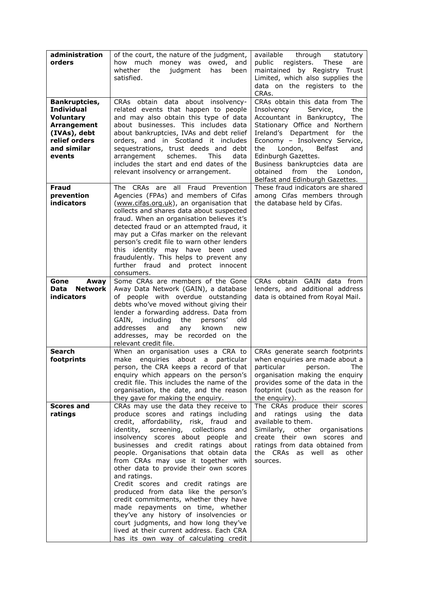| administration<br>orders                                                                                                        | of the court, the nature of the judgment,<br>owed, and<br>how much money was<br>whether<br>the<br>judgment<br>has<br>been<br>satisfied.                                                                                                                                                                                                                                                                                                                                                                                                                                                                                                                                                                                              | available<br>through<br>statutory<br>public registers. These<br>are<br>maintained by Registry Trust<br>Limited, which also supplies the<br>data on the registers to the<br>CRAs.                                                                                                                                                                                    |
|---------------------------------------------------------------------------------------------------------------------------------|--------------------------------------------------------------------------------------------------------------------------------------------------------------------------------------------------------------------------------------------------------------------------------------------------------------------------------------------------------------------------------------------------------------------------------------------------------------------------------------------------------------------------------------------------------------------------------------------------------------------------------------------------------------------------------------------------------------------------------------|---------------------------------------------------------------------------------------------------------------------------------------------------------------------------------------------------------------------------------------------------------------------------------------------------------------------------------------------------------------------|
| Bankruptcies,<br><b>Individual</b><br><b>Voluntary</b><br>Arrangement<br>(IVAs), debt<br>relief orders<br>and similar<br>events | CRAs obtain data about insolvency-<br>related events that happen to people<br>and may also obtain this type of data<br>about businesses. This includes data<br>about bankruptcies, IVAs and debt relief<br>orders, and in Scotland it includes<br>sequestrations, trust deeds and debt<br>schemes.<br>arrangement<br>This<br>data<br>includes the start and end dates of the<br>relevant insolvency or arrangement.                                                                                                                                                                                                                                                                                                                  | CRAs obtain this data from The<br>Insolvency<br>Service,<br>the<br>Accountant in Bankruptcy, The<br>Stationary Office and Northern<br>Ireland's Department for the<br>Economy - Insolvency Service,<br>London,<br>Belfast<br>the<br>and<br>Edinburgh Gazettes.<br>Business bankruptcies data are<br>obtained from the<br>London,<br>Belfast and Edinburgh Gazettes. |
| <b>Fraud</b><br>prevention<br>indicators                                                                                        | The CRAs are all Fraud Prevention<br>Agencies (FPAs) and members of Cifas<br>(www.cifas.org.uk), an organisation that<br>collects and shares data about suspected<br>fraud. When an organisation believes it's<br>detected fraud or an attempted fraud, it<br>may put a Cifas marker on the relevant<br>person's credit file to warn other lenders<br>this identity may have been used<br>fraudulently. This helps to prevent any<br>further fraud and protect innocent<br>consumers.                                                                                                                                                                                                                                                | These fraud indicators are shared<br>among Cifas members through<br>the database held by Cifas.                                                                                                                                                                                                                                                                     |
| Gone<br>Away<br>Data<br><b>Network</b><br><b>indicators</b>                                                                     | Some CRAs are members of the Gone<br>Away Data Network (GAIN), a database<br>of people with overdue outstanding<br>debts who've moved without giving their<br>lender a forwarding address. Data from<br>GAIN, including<br>the<br>persons'<br>old<br>addresses<br>and<br>any<br>known<br>new<br>addresses, may be recorded on the<br>relevant credit file.                                                                                                                                                                                                                                                                                                                                                                           | CRAs obtain GAIN data from<br>lenders, and additional address<br>data is obtained from Royal Mail.                                                                                                                                                                                                                                                                  |
| <b>Search</b><br>footprints                                                                                                     | When an organisation uses a CRA to<br>enquiries about a particular<br>make<br>person, the CRA keeps a record of that<br>enquiry which appears on the person's<br>credit file. This includes the name of the<br>organisation, the date, and the reason<br>they gave for making the enquiry.                                                                                                                                                                                                                                                                                                                                                                                                                                           | CRAs generate search footprints<br>when enquiries are made about a<br>particular person. The<br>organisation making the enquiry<br>provides some of the data in the<br>footprint (such as the reason for<br>the enguiry).                                                                                                                                           |
| <b>Scores and</b><br>ratings                                                                                                    | CRAs may use the data they receive to<br>produce scores and ratings including<br>credit, affordability, risk, fraud<br>and<br>identity, screening, collections<br>and<br>insolvency scores about people<br>and<br>businesses and credit ratings about<br>people. Organisations that obtain data<br>from CRAs may use it together with<br>other data to provide their own scores<br>and ratings.<br>Credit scores and credit ratings are<br>produced from data like the person's<br>credit commitments, whether they have<br>made repayments on time, whether<br>they've any history of insolvencies or<br>court judgments, and how long they've<br>lived at their current address. Each CRA<br>has its own way of calculating credit | The CRAs produce their scores<br>and ratings using the data<br>available to them.<br>Similarly, other<br>organisations<br>create their own scores and<br>ratings from data obtained from<br>the CRAs as well as other<br>sources.                                                                                                                                   |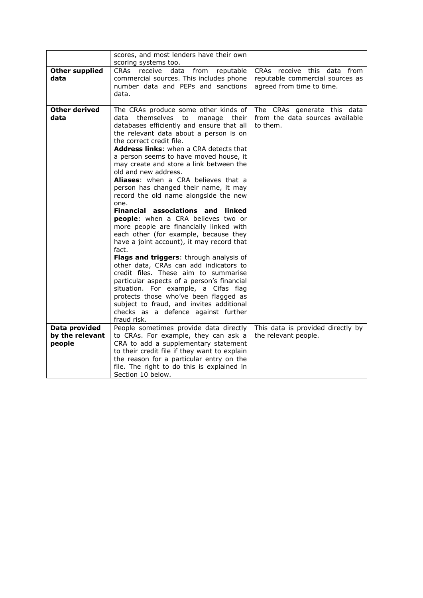|                               | scores, and most lenders have their own<br>scoring systems too.                                                                                                                                                                                                                                                                                                                                                                                                                                                                                                                                                                                                                                                                                                                                                                                                                                                                                                                                                                                                                          |                                                                                             |
|-------------------------------|------------------------------------------------------------------------------------------------------------------------------------------------------------------------------------------------------------------------------------------------------------------------------------------------------------------------------------------------------------------------------------------------------------------------------------------------------------------------------------------------------------------------------------------------------------------------------------------------------------------------------------------------------------------------------------------------------------------------------------------------------------------------------------------------------------------------------------------------------------------------------------------------------------------------------------------------------------------------------------------------------------------------------------------------------------------------------------------|---------------------------------------------------------------------------------------------|
| <b>Other supplied</b><br>data | receive<br>reputable<br>CRAs<br>data<br>from<br>commercial sources. This includes phone<br>number data and PEPs and sanctions<br>data.                                                                                                                                                                                                                                                                                                                                                                                                                                                                                                                                                                                                                                                                                                                                                                                                                                                                                                                                                   | CRAs receive this data from<br>reputable commercial sources as<br>agreed from time to time. |
| <b>Other derived</b><br>data  | The CRAs produce some other kinds of<br>data themselves<br>to<br>manage<br>their<br>databases efficiently and ensure that all<br>the relevant data about a person is on<br>the correct credit file.<br><b>Address links:</b> when a CRA detects that<br>a person seems to have moved house, it<br>may create and store a link between the<br>old and new address.<br>Aliases: when a CRA believes that a<br>person has changed their name, it may<br>record the old name alongside the new<br>one.<br>Financial associations and<br>linked<br>people: when a CRA believes two or<br>more people are financially linked with<br>each other (for example, because they<br>have a joint account), it may record that<br>fact.<br>Flags and triggers: through analysis of<br>other data, CRAs can add indicators to<br>credit files. These aim to summarise<br>particular aspects of a person's financial<br>situation. For example, a Cifas flag<br>protects those who've been flagged as<br>subject to fraud, and invites additional<br>checks as a defence against further<br>fraud risk. | The CRAs generate this data<br>from the data sources available<br>to them.                  |
| Data provided                 | People sometimes provide data directly                                                                                                                                                                                                                                                                                                                                                                                                                                                                                                                                                                                                                                                                                                                                                                                                                                                                                                                                                                                                                                                   | This data is provided directly by                                                           |
| by the relevant<br>people     | to CRAs. For example, they can ask a<br>CRA to add a supplementary statement<br>to their credit file if they want to explain<br>the reason for a particular entry on the<br>file. The right to do this is explained in<br>Section 10 below.                                                                                                                                                                                                                                                                                                                                                                                                                                                                                                                                                                                                                                                                                                                                                                                                                                              | the relevant people.                                                                        |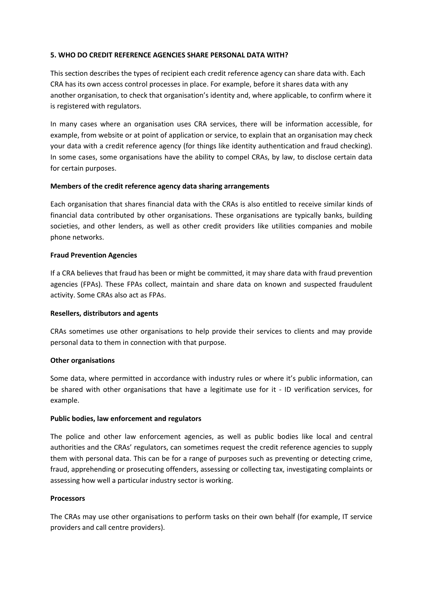## **5. WHO DO CREDIT REFERENCE AGENCIES SHARE PERSONAL DATA WITH?**

This section describes the types of recipient each credit reference agency can share data with. Each CRA has its own access control processes in place. For example, before it shares data with any another organisation, to check that organisation's identity and, where applicable, to confirm where it is registered with regulators.

In many cases where an organisation uses CRA services, there will be information accessible, for example, from website or at point of application or service, to explain that an organisation may check your data with a credit reference agency (for things like identity authentication and fraud checking). In some cases, some organisations have the ability to compel CRAs, by law, to disclose certain data for certain purposes.

## **Members of the credit reference agency data sharing arrangements**

Each organisation that shares financial data with the CRAs is also entitled to receive similar kinds of financial data contributed by other organisations. These organisations are typically banks, building societies, and other lenders, as well as other credit providers like utilities companies and mobile phone networks.

## **Fraud Prevention Agencies**

If a CRA believes that fraud has been or might be committed, it may share data with fraud prevention agencies (FPAs). These FPAs collect, maintain and share data on known and suspected fraudulent activity. Some CRAs also act as FPAs.

#### **Resellers, distributors and agents**

CRAs sometimes use other organisations to help provide their services to clients and may provide personal data to them in connection with that purpose.

#### **Other organisations**

Some data, where permitted in accordance with industry rules or where it's public information, can be shared with other organisations that have a legitimate use for it - ID verification services, for example.

#### **Public bodies, law enforcement and regulators**

The police and other law enforcement agencies, as well as public bodies like local and central authorities and the CRAs' regulators, can sometimes request the credit reference agencies to supply them with personal data. This can be for a range of purposes such as preventing or detecting crime, fraud, apprehending or prosecuting offenders, assessing or collecting tax, investigating complaints or assessing how well a particular industry sector is working.

#### **Processors**

The CRAs may use other organisations to perform tasks on their own behalf (for example, IT service providers and call centre providers).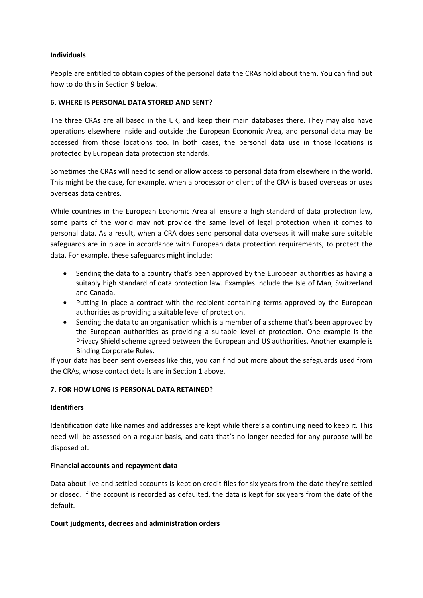## **Individuals**

People are entitled to obtain copies of the personal data the CRAs hold about them. You can find out how to do this in Section 9 below.

## **6. WHERE IS PERSONAL DATA STORED AND SENT?**

The three CRAs are all based in the UK, and keep their main databases there. They may also have operations elsewhere inside and outside the European Economic Area, and personal data may be accessed from those locations too. In both cases, the personal data use in those locations is protected by European data protection standards.

Sometimes the CRAs will need to send or allow access to personal data from elsewhere in the world. This might be the case, for example, when a processor or client of the CRA is based overseas or uses overseas data centres.

While countries in the European Economic Area all ensure a high standard of data protection law, some parts of the world may not provide the same level of legal protection when it comes to personal data. As a result, when a CRA does send personal data overseas it will make sure suitable safeguards are in place in accordance with European data protection requirements, to protect the data. For example, these safeguards might include:

- Sending the data to a country that's been approved by the European authorities as having a suitably high standard of data protection law. Examples include the Isle of Man, Switzerland and Canada.
- Putting in place a contract with the recipient containing terms approved by the European authorities as providing a suitable level of protection.
- Sending the data to an organisation which is a member of a scheme that's been approved by the European authorities as providing a suitable level of protection. One example is the Privacy Shield scheme agreed between the European and US authorities. Another example is Binding Corporate Rules.

If your data has been sent overseas like this, you can find out more about the safeguards used from the CRAs, whose contact details are in Section 1 above.

#### **7. FOR HOW LONG IS PERSONAL DATA RETAINED?**

## **Identifiers**

Identification data like names and addresses are kept while there's a continuing need to keep it. This need will be assessed on a regular basis, and data that's no longer needed for any purpose will be disposed of.

#### **Financial accounts and repayment data**

Data about live and settled accounts is kept on credit files for six years from the date they're settled or closed. If the account is recorded as defaulted, the data is kept for six years from the date of the default.

#### **Court judgments, decrees and administration orders**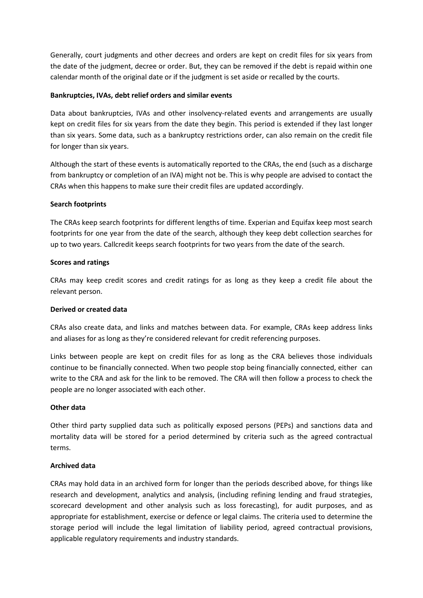Generally, court judgments and other decrees and orders are kept on credit files for six years from the date of the judgment, decree or order. But, they can be removed if the debt is repaid within one calendar month of the original date or if the judgment is set aside or recalled by the courts.

## **Bankruptcies, IVAs, debt relief orders and similar events**

Data about bankruptcies, IVAs and other insolvency-related events and arrangements are usually kept on credit files for six years from the date they begin. This period is extended if they last longer than six years. Some data, such as a bankruptcy restrictions order, can also remain on the credit file for longer than six years.

Although the start of these events is automatically reported to the CRAs, the end (such as a discharge from bankruptcy or completion of an IVA) might not be. This is why people are advised to contact the CRAs when this happens to make sure their credit files are updated accordingly.

## **Search footprints**

The CRAs keep search footprints for different lengths of time. Experian and Equifax keep most search footprints for one year from the date of the search, although they keep debt collection searches for up to two years. Callcredit keeps search footprints for two years from the date of the search.

## **Scores and ratings**

CRAs may keep credit scores and credit ratings for as long as they keep a credit file about the relevant person.

#### **Derived or created data**

CRAs also create data, and links and matches between data. For example, CRAs keep address links and aliases for as long as they're considered relevant for credit referencing purposes.

Links between people are kept on credit files for as long as the CRA believes those individuals continue to be financially connected. When two people stop being financially connected, either can write to the CRA and ask for the link to be removed. The CRA will then follow a process to check the people are no longer associated with each other.

## **Other data**

Other third party supplied data such as politically exposed persons (PEPs) and sanctions data and mortality data will be stored for a period determined by criteria such as the agreed contractual terms.

## **Archived data**

CRAs may hold data in an archived form for longer than the periods described above, for things like research and development, analytics and analysis, (including refining lending and fraud strategies, scorecard development and other analysis such as loss forecasting), for audit purposes, and as appropriate for establishment, exercise or defence or legal claims. The criteria used to determine the storage period will include the legal limitation of liability period, agreed contractual provisions, applicable regulatory requirements and industry standards.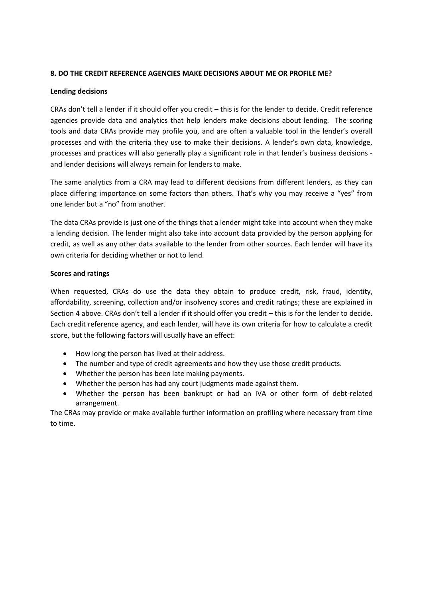## **8. DO THE CREDIT REFERENCE AGENCIES MAKE DECISIONS ABOUT ME OR PROFILE ME?**

## **Lending decisions**

CRAs don't tell a lender if it should offer you credit – this is for the lender to decide. Credit reference agencies provide data and analytics that help lenders make decisions about lending. The scoring tools and data CRAs provide may profile you, and are often a valuable tool in the lender's overall processes and with the criteria they use to make their decisions. A lender's own data, knowledge, processes and practices will also generally play a significant role in that lender's business decisions and lender decisions will always remain for lenders to make.

The same analytics from a CRA may lead to different decisions from different lenders, as they can place differing importance on some factors than others. That's why you may receive a "yes" from one lender but a "no" from another.

The data CRAs provide is just one of the things that a lender might take into account when they make a lending decision. The lender might also take into account data provided by the person applying for credit, as well as any other data available to the lender from other sources. Each lender will have its own criteria for deciding whether or not to lend.

## **Scores and ratings**

When requested, CRAs do use the data they obtain to produce credit, risk, fraud, identity, affordability, screening, collection and/or insolvency scores and credit ratings; these are explained in Section 4 above. CRAs don't tell a lender if it should offer you credit – this is for the lender to decide. Each credit reference agency, and each lender, will have its own criteria for how to calculate a credit score, but the following factors will usually have an effect:

- How long the person has lived at their address.
- The number and type of credit agreements and how they use those credit products.
- Whether the person has been late making payments.
- Whether the person has had any court judgments made against them.
- Whether the person has been bankrupt or had an IVA or other form of debt-related arrangement.

The CRAs may provide or make available further information on profiling where necessary from time to time.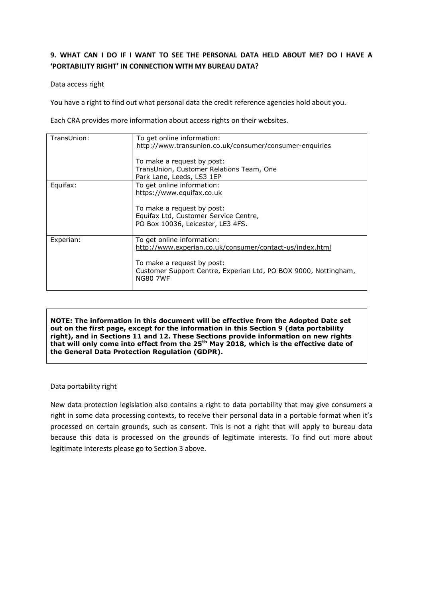# **9. WHAT CAN I DO IF I WANT TO SEE THE PERSONAL DATA HELD ABOUT ME? DO I HAVE A 'PORTABILITY RIGHT' IN CONNECTION WITH MY BUREAU DATA?**

#### Data access right

You have a right to find out what personal data the credit reference agencies hold about you.

Each CRA provides more information about access rights on their websites.

| TransUnion: | To get online information:                                      |
|-------------|-----------------------------------------------------------------|
|             | http://www.transunion.co.uk/consumer/consumer-enquiries         |
|             |                                                                 |
|             | To make a request by post:                                      |
|             | TransUnion, Customer Relations Team, One                        |
|             | Park Lane, Leeds, LS3 1EP                                       |
| Equifax:    | To get online information:                                      |
|             | https://www.equifax.co.uk                                       |
|             |                                                                 |
|             | To make a request by post:                                      |
|             | Equifax Ltd, Customer Service Centre,                           |
|             | PO Box 10036, Leicester, LE3 4FS.                               |
|             |                                                                 |
| Experian:   | To get online information:                                      |
|             | http://www.experian.co.uk/consumer/contact-us/index.html        |
|             |                                                                 |
|             | To make a request by post:                                      |
|             | Customer Support Centre, Experian Ltd, PO BOX 9000, Nottingham, |
|             | <b>NG80 7WF</b>                                                 |
|             |                                                                 |

**NOTE: The information in this document will be effective from the Adopted Date set out on the first page, except for the information in this Section 9 (data portability right), and in Sections 11 and 12. These Sections provide information on new rights that will only come into effect from the 25th May 2018, which is the effective date of the General Data Protection Regulation (GDPR).**

#### Data portability right

New data protection legislation also contains a right to data portability that may give consumers a right in some data processing contexts, to receive their personal data in a portable format when it's processed on certain grounds, such as consent. This is not a right that will apply to bureau data because this data is processed on the grounds of legitimate interests. To find out more about legitimate interests please go to Section 3 above.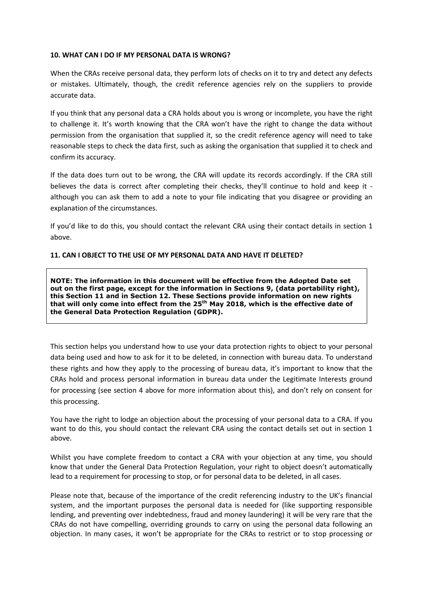## **10. WHAT CAN I DO IF MY PERSONAL DATA IS WRONG?**

When the CRAs receive personal data, they perform lots of checks on it to try and detect any defects or mistakes. Ultimately, though, the credit reference agencies rely on the suppliers to provide accurate data.

If you think that any personal data a CRA holds about you is wrong or incomplete, you have the right to challenge it. It's worth knowing that the CRA won't have the right to change the data without permission from the organisation that supplied it, so the credit reference agency will need to take reasonable steps to check the data first, such as asking the organisation that supplied it to check and confirm its accuracy.

If the data does turn out to be wrong, the CRA will update its records accordingly. If the CRA still believes the data is correct after completing their checks, they'll continue to hold and keep it although you can ask them to add a note to your file indicating that you disagree or providing an explanation of the circumstances.

If you'd like to do this, you should contact the relevant CRA using their contact details in section 1 above.

## **11. CAN I OBJECT TO THE USE OF MY PERSONAL DATA AND HAVE IT DELETED?**

**NOTE: The information in this document will be effective from the Adopted Date set out on the first page, except for the information in Sections 9, (data portability right), this Section 11 and in Section 12. These Sections provide information on new rights that will only come into effect from the 25th May 2018, which is the effective date of the General Data Protection Regulation (GDPR).**

This section helps you understand how to use your data protection rights to object to your personal data being used and how to ask for it to be deleted, in connection with bureau data. To understand these rights and how they apply to the processing of bureau data, it's important to know that the CRAs hold and process personal information in bureau data under the Legitimate Interests ground for processing (see section 4 above for more information about this), and don't rely on consent for this processing.

You have the right to lodge an objection about the processing of your personal data to a CRA. If you want to do this, you should contact the relevant CRA using the contact details set out in section 1 above.

Whilst you have complete freedom to contact a CRA with your objection at any time, you should know that under the General Data Protection Regulation, your right to object doesn't automatically lead to a requirement for processing to stop, or for personal data to be deleted, in all cases.

Please note that, because of the importance of the credit referencing industry to the UK's financial system, and the important purposes the personal data is needed for (like supporting responsible lending, and preventing over indebtedness, fraud and money laundering) it will be very rare that the CRAs do not have compelling, overriding grounds to carry on using the personal data following an objection. In many cases, it won't be appropriate for the CRAs to restrict or to stop processing or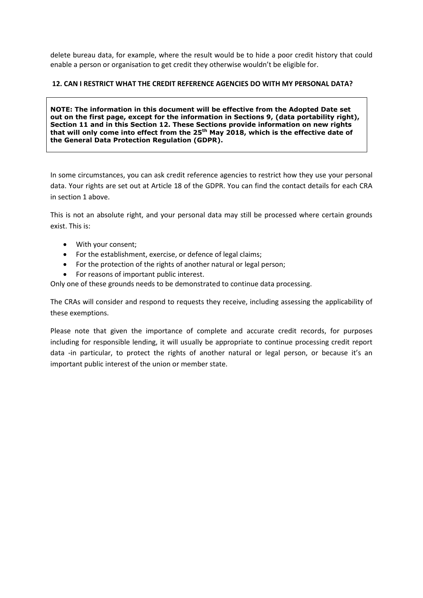delete bureau data, for example, where the result would be to hide a poor credit history that could enable a person or organisation to get credit they otherwise wouldn't be eligible for.

## **12. CAN I RESTRICT WHAT THE CREDIT REFERENCE AGENCIES DO WITH MY PERSONAL DATA?**

**NOTE: The information in this document will be effective from the Adopted Date set out on the first page, except for the information in Sections 9, (data portability right), Section 11 and in this Section 12. These Sections provide information on new rights that will only come into effect from the 25th May 2018, which is the effective date of the General Data Protection Regulation (GDPR).**

In some circumstances, you can ask credit reference agencies to restrict how they use your personal data. Your rights are set out at Article 18 of the GDPR. You can find the contact details for each CRA in section 1 above.

This is not an absolute right, and your personal data may still be processed where certain grounds exist. This is:

- With your consent;
- For the establishment, exercise, or defence of legal claims;
- For the protection of the rights of another natural or legal person;
- For reasons of important public interest.

Only one of these grounds needs to be demonstrated to continue data processing.

The CRAs will consider and respond to requests they receive, including assessing the applicability of these exemptions.

Please note that given the importance of complete and accurate credit records, for purposes including for responsible lending, it will usually be appropriate to continue processing credit report data -in particular, to protect the rights of another natural or legal person, or because it's an important public interest of the union or member state.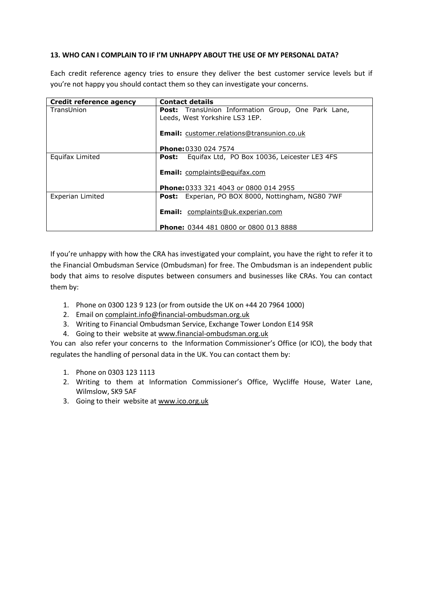## **13. WHO CAN I COMPLAIN TO IF I'M UNHAPPY ABOUT THE USE OF MY PERSONAL DATA?**

Each credit reference agency tries to ensure they deliver the best customer service levels but if you're not happy you should contact them so they can investigate your concerns.

| Credit reference agency | <b>Contact details</b>                                    |
|-------------------------|-----------------------------------------------------------|
| TransUnion              | <b>Post:</b> TransUnion Information Group, One Park Lane, |
|                         | Leeds, West Yorkshire LS3 1EP.                            |
|                         |                                                           |
|                         | <b>Email:</b> customer.relations@transunion.co.uk         |
|                         |                                                           |
|                         | <b>Phone: 0330 024 7574</b>                               |
| Equifax Limited         | Equifax Ltd, PO Box 10036, Leicester LE3 4FS<br>Post:     |
|                         |                                                           |
|                         | <b>Email:</b> complaints@equifax.com                      |
|                         |                                                           |
|                         | Phone: 0333 321 4043 or 0800 014 2955                     |
| Experian Limited        | <b>Post:</b> Experian, PO BOX 8000, Nottingham, NG80 7WF  |
|                         |                                                           |
|                         | <b>Email:</b> complaints@uk.experian.com                  |
|                         |                                                           |
|                         | <b>Phone:</b> 0344 481 0800 or 0800 013 8888              |

If you're unhappy with how the CRA has investigated your complaint, you have the right to refer it to the Financial Ombudsman Service (Ombudsman) for free. The Ombudsman is an independent public body that aims to resolve disputes between consumers and businesses like CRAs. You can contact them by:

- 1. Phone on 0300 123 9 123 (or from outside the UK on +44 20 7964 1000)
- 2. Email on [complaint.info@financial-ombudsman.org.uk](mailto:complaint.info@financial-ombudsman.org.uk)
- 3. Writing to Financial Ombudsman Service, Exchange Tower London E14 9SR
- 4. Going to their website at [www.financial-ombudsman.org.uk](http://www.financial-ombudsman.org.uk/)

You can also refer your concerns to the Information Commissioner's Office (or ICO), the body that regulates the handling of personal data in the UK. You can contact them by:

- 1. Phone on 0303 123 1113
- 2. Writing to them at Information Commissioner's Office, Wycliffe House, Water Lane, Wilmslow, SK9 5AF
- 3. Going to their website at [www.ico.org.uk](http://www.ico.org.uk/)